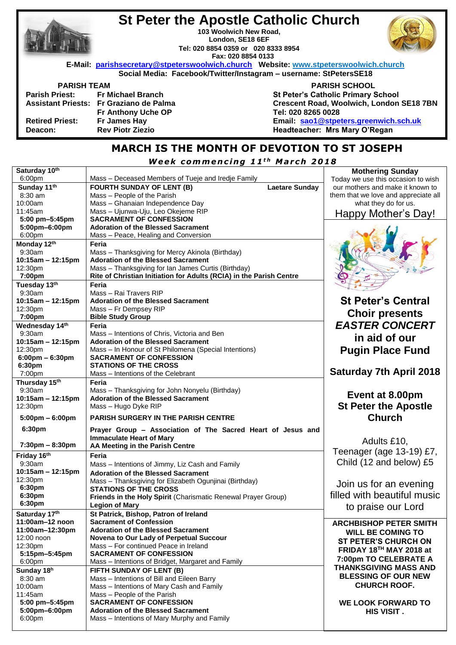|                        | <b>St Peter the Apostle Catholic Church</b>                                          |                                           |  |
|------------------------|--------------------------------------------------------------------------------------|-------------------------------------------|--|
|                        | 103 Woolwich New Road.                                                               |                                           |  |
|                        | London, SE18 6EF                                                                     |                                           |  |
|                        | Tel: 020 8854 0359 or 020 8333 8954                                                  |                                           |  |
|                        | Fax: 020 8854 0133                                                                   |                                           |  |
|                        | E-Mail: parishsecretary@stpeterswoolwich.church Website: www.stpeterswoolwich.church |                                           |  |
|                        | Social Media: Facebook/Twitter/Instagram - username: StPetersSE18                    |                                           |  |
| <b>PARISH TEAM</b>     |                                                                                      | <b>PARISH SCHOOL</b>                      |  |
|                        | Parish Priest: Fr Michael Branch                                                     | <b>St Peter's Catholic Primary School</b> |  |
|                        | Assistant Priests: Fr Graziano de Palma                                              | Crescent Road, Woolwich, London SE18 7BN  |  |
|                        | Fr Anthony Uche OP                                                                   | Tel: 020 8265 0028                        |  |
| <b>Retired Priest:</b> | Fr James Hay                                                                         | Email: sao1@stpeters.greenwich.sch.uk     |  |
| Deacon:                | <b>Rev Piotr Ziezio</b>                                                              | Headteacher: Mrs Mary O'Regan             |  |
|                        |                                                                                      |                                           |  |

**St Peter the Apostle Catholic Church**

# **MARCH IS THE MONTH OF DEVOTION TO ST JOSEPH**

*<u>Week commencing 11<sup>th</sup> March 2018</u>* 

| Saturday 10th                       |                                                                                          | <b>Mothering Sunday</b>              |
|-------------------------------------|------------------------------------------------------------------------------------------|--------------------------------------|
| 6:00 <sub>pm</sub>                  | Mass - Deceased Members of Tueje and Iredje Family                                       | Today we use this occasion to wish   |
| Sunday 11th                         | <b>Laetare Sunday</b><br><b>FOURTH SUNDAY OF LENT (B)</b>                                | our mothers and make it known to     |
| 8:30 am                             | Mass - People of the Parish                                                              | them that we love and appreciate all |
| 10:00am                             | Mass - Ghanaian Independence Day                                                         | what they do for us.                 |
| 11:45am                             | Mass - Ujunwa-Uju, Leo Okejeme RIP                                                       | Happy Mother's Day!                  |
| 5:00 pm-5:45pm                      | <b>SACRAMENT OF CONFESSION</b>                                                           |                                      |
| 5:00pm-6:00pm                       | <b>Adoration of the Blessed Sacrament</b>                                                |                                      |
| 6:00pm                              | Mass - Peace, Healing and Conversion                                                     |                                      |
| Monday 12th                         | Feria                                                                                    |                                      |
| 9:30am                              | Mass - Thanksgiving for Mercy Akinola (Birthday)                                         |                                      |
| 10:15am - 12:15pm                   | <b>Adoration of the Blessed Sacrament</b>                                                |                                      |
| 12:30pm                             | Mass - Thanksgiving for Ian James Curtis (Birthday)                                      |                                      |
| 7:00pm                              | Rite of Christian Initiation for Adults (RCIA) in the Parish Centre                      |                                      |
| Tuesday 13th                        | Feria                                                                                    |                                      |
| 9:30am                              | Mass - Rai Travers RIP                                                                   |                                      |
| 10:15am - 12:15pm                   | <b>Adoration of the Blessed Sacrament</b>                                                | <b>St Peter's Central</b>            |
| 12:30pm                             | Mass - Fr Dempsey RIP                                                                    | <b>Choir presents</b>                |
| 7:00pm                              | <b>Bible Study Group</b>                                                                 |                                      |
| Wednesday 14th                      | Feria                                                                                    | <b>EASTER CONCERT</b>                |
| 9:30am                              | Mass – Intentions of Chris, Victoria and Ben                                             | in aid of our                        |
| 10:15am - 12:15pm                   | <b>Adoration of the Blessed Sacrament</b>                                                |                                      |
| 12:30pm                             | Mass - In Honour of St Philomena (Special Intentions)                                    | <b>Pugin Place Fund</b>              |
| $6:00 \text{pm} - 6:30 \text{pm}$   | <b>SACRAMENT OF CONFESSION</b>                                                           |                                      |
| 6:30pm                              | <b>STATIONS OF THE CROSS</b>                                                             | <b>Saturday 7th April 2018</b>       |
| 7:00pm                              | Mass - Intentions of the Celebrant                                                       |                                      |
| Thursday 15th                       | Feria                                                                                    |                                      |
| 9:30am                              | Mass - Thanksgiving for John Nonyelu (Birthday)                                          | Event at 8.00pm                      |
| 10:15am - 12:15pm                   | <b>Adoration of the Blessed Sacrament</b>                                                |                                      |
| 12:30pm                             | Mass - Hugo Dyke RIP                                                                     | <b>St Peter the Apostle</b>          |
| $5:00 \text{pm} - 6:00 \text{pm}$   | <b>PARISH SURGERY IN THE PARISH CENTRE</b>                                               | <b>Church</b>                        |
| 6:30pm                              | Prayer Group - Association of The Sacred Heart of Jesus and                              |                                      |
|                                     | <b>Immaculate Heart of Mary</b>                                                          | Adults £10,                          |
| $7:30 \text{pm} - 8:30 \text{pm}$   | AA Meeting in the Parish Centre                                                          |                                      |
| Friday 16th                         | Feria                                                                                    | Teenager (age 13-19) £7,             |
| $9:30$ am                           | Mass - Intentions of Jimmy, Liz Cash and Family                                          | Child (12 and below) £5              |
| 10:15am - 12:15pm                   | <b>Adoration of the Blessed Sacrament</b>                                                |                                      |
| 12:30pm                             | Mass - Thanksgiving for Elizabeth Ogunjinai (Birthday)                                   |                                      |
| 6:30pm                              | <b>STATIONS OF THE CROSS</b>                                                             | Join us for an evening               |
| 6:30pm                              | Friends in the Holy Spirit (Charismatic Renewal Prayer Group)                            | filled with beautiful music          |
| 6:30pm                              | <b>Legion of Mary</b>                                                                    |                                      |
| Saturday 17th                       | St Patrick, Bishop, Patron of Ireland                                                    | to praise our Lord                   |
| 11:00am-12 noon                     | <b>Sacrament of Confession</b>                                                           |                                      |
| 11:00am-12:30pm                     | <b>Adoration of the Blessed Sacrament</b>                                                | <b>ARCHBISHOP PETER SMITH</b>        |
| 12:00 noon                          | Novena to Our Lady of Perpetual Succour                                                  | <b>WILL BE COMING TO</b>             |
| 12:30pm                             | Mass - For continued Peace in Ireland                                                    | <b>ST PETER'S CHURCH ON</b>          |
| 5:15pm-5:45pm                       | <b>SACRAMENT OF CONFESSION</b>                                                           | FRIDAY 18 <sup>TH</sup> MAY 2018 at  |
| 6:00 <sub>pm</sub>                  | Mass - Intentions of Bridget, Margaret and Family                                        | 7:00pm TO CELEBRATE A                |
| Sunday 18h                          | FIFTH SUNDAY OF LENT (B)                                                                 | <b>THANKSGIVING MASS AND</b>         |
| 8:30 am                             | Mass - Intentions of Bill and Eileen Barry                                               | <b>BLESSING OF OUR NEW</b>           |
| 10:00am                             | Mass - Intentions of Mary Cash and Family                                                | <b>CHURCH ROOF.</b>                  |
| 11:45am                             |                                                                                          |                                      |
|                                     |                                                                                          |                                      |
|                                     | Mass - People of the Parish                                                              |                                      |
| 5:00 pm-5:45pm                      | <b>SACRAMENT OF CONFESSION</b>                                                           | <b>WE LOOK FORWARD TO</b>            |
| 5:00pm-6:00pm<br>6:00 <sub>pm</sub> | <b>Adoration of the Blessed Sacrament</b><br>Mass – Intentions of Mary Murphy and Family | <b>HIS VISIT.</b>                    |